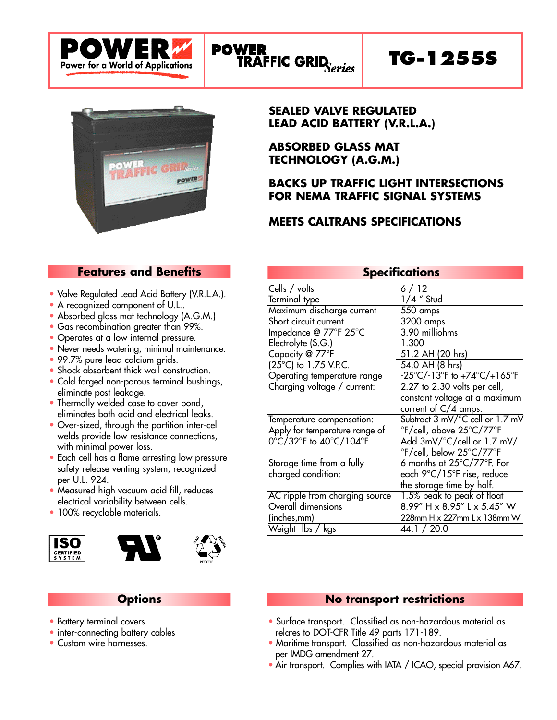



## **SEALED VALVE REGULATED LEAD ACID BATTERY (V.R.L.A.)**

**ABSORBED GLASS MAT TECHNOLOGY (A.G.M.)**

# **BACKS UP TRAFFIC LIGHT INTERSECTIONS FOR NEMA TRAFFIC SIGNAL SYSTEMS**

# **MEETS CALTRANS SPECIFICATIONS**

# **Features and Benefits**

- Valve Regulated Lead Acid Battery (V.R.L.A.).
- A recognized component of U.L..
- Absorbed glass mat technology (A.G.M.)
- Gas recombination greater than 99%.
- Operates at a low internal pressure.
- Never needs watering, minimal maintenance.
- 99.7% pure lead calcium grids.
- Shock absorbent thick wall construction.
- Cold forged non-porous terminal bushings, eliminate post leakage.
- Thermally welded case to cover bond, eliminates both acid and electrical leaks.
- Over-sized, through the partition inter-cell welds provide low resistance connections, with minimal power loss.
- Each cell has a flame arresting low pressure safety release venting system, recognized per U.L. 924.
- Measured high vacuum acid fill, reduces electrical variability between cells.
- 100% recyclable materials.







# **Options**

- Battery terminal covers
- inter-connecting battery cables
- Custom wire harnesses.

| <b>Specifications</b>          |                                                             |  |  |  |  |  |  |  |  |
|--------------------------------|-------------------------------------------------------------|--|--|--|--|--|--|--|--|
| Cells / volts                  | 6/12                                                        |  |  |  |  |  |  |  |  |
| Terminal type                  | $1/4$ " Stud                                                |  |  |  |  |  |  |  |  |
| Maximum discharge current      | 550 amps                                                    |  |  |  |  |  |  |  |  |
| Short circuit current          | $3200$ amps                                                 |  |  |  |  |  |  |  |  |
| Impedance @ 77°F 25°C          | 3.90 milliohms                                              |  |  |  |  |  |  |  |  |
| Electrolyte (S.G.)             | 1.300                                                       |  |  |  |  |  |  |  |  |
| Capacity @ 77°F                | 51.2 AH (20 hrs)                                            |  |  |  |  |  |  |  |  |
| (25°C) to 1.75 V.P.C.          | 54.0 AH (8 hrs)                                             |  |  |  |  |  |  |  |  |
| Operating temperature range    | $-25^{\circ}C/-13^{\circ}F$ to $+74^{\circ}C/+165^{\circ}F$ |  |  |  |  |  |  |  |  |
| Charging voltage / current:    | $2.27$ to $2.30$ volts per cell,                            |  |  |  |  |  |  |  |  |
|                                | constant voltage at a maximum                               |  |  |  |  |  |  |  |  |
|                                | current of $C/4$ amps.                                      |  |  |  |  |  |  |  |  |
| Temperature compensation:      | Subtract 3 mV/°C cell or 1.7 mV                             |  |  |  |  |  |  |  |  |
| Apply for temperature range of | °F/cell, above 25°C/77°F                                    |  |  |  |  |  |  |  |  |
| 0°C/32°F to 40°C/104°F         | Add 3mV/°C/cell or 1.7 mV/                                  |  |  |  |  |  |  |  |  |
|                                | °F/cell, below 25°C/77°F                                    |  |  |  |  |  |  |  |  |
| Storage time from a fully      | 6 months at $25^{\circ}$ C/77 $^{\circ}$ F. For             |  |  |  |  |  |  |  |  |
| charged condition:             | each 9°C/15°F rise, reduce                                  |  |  |  |  |  |  |  |  |
|                                | the storage time by half.                                   |  |  |  |  |  |  |  |  |
| AC ripple from charging source | 1.5% peak to peak of float                                  |  |  |  |  |  |  |  |  |
| Overall dimensions             | $8.99''$ H x $8.95''$ L x $5.45''$ W                        |  |  |  |  |  |  |  |  |
| (inches,mm)                    | 228mm H x 227mm L x 138mm W                                 |  |  |  |  |  |  |  |  |
| Weight Ibs / kgs               | 44.1 / 20.0                                                 |  |  |  |  |  |  |  |  |

#### **No transport restrictions**

- Surface transport. Classified as non-hazardous material as relates to DOT-CFR Title 49 parts 171-189.
- Maritime transport. Classified as non-hazardous material as per IMDG amendment 27.
- Air transport. Complies with IATA / ICAO, special provision A67.